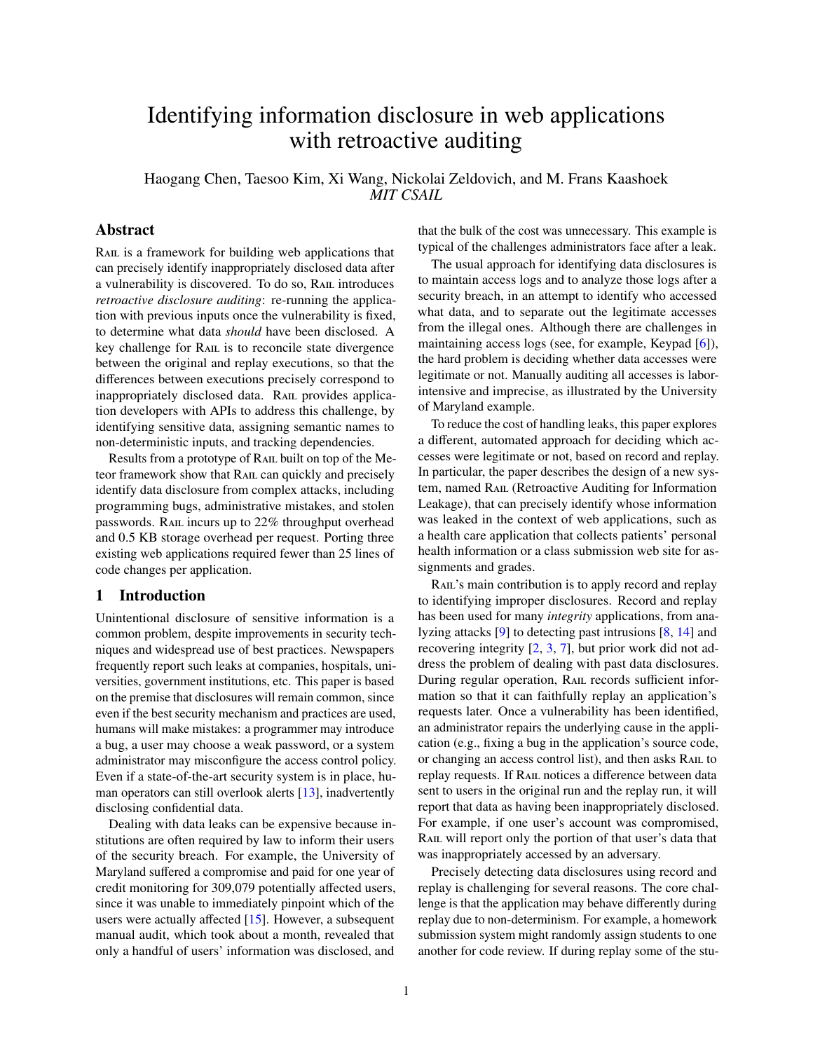# Identifying information disclosure in web applications with retroactive auditing

Haogang Chen, Taesoo Kim, Xi Wang, Nickolai Zeldovich, and M. Frans Kaashoek *MIT CSAIL*

# Abstract

RAIL is a framework for building web applications that can precisely identify inappropriately disclosed data after a vulnerability is discovered. To do so, RAIL introduces *retroactive disclosure auditing*: re-running the application with previous inputs once the vulnerability is fixed, to determine what data *should* have been disclosed. A key challenge for RAIL is to reconcile state divergence between the original and replay executions, so that the differences between executions precisely correspond to inappropriately disclosed data. RAIL provides application developers with APIs to address this challenge, by identifying sensitive data, assigning semantic names to non-deterministic inputs, and tracking dependencies.

Results from a prototype of Rail built on top of the Meteor framework show that Rail can quickly and precisely identify data disclosure from complex attacks, including programming bugs, administrative mistakes, and stolen passwords. RAIL incurs up to 22% throughput overhead and 0.5 KB storage overhead per request. Porting three existing web applications required fewer than 25 lines of code changes per application.

# 1 Introduction

Unintentional disclosure of sensitive information is a common problem, despite improvements in security techniques and widespread use of best practices. Newspapers frequently report such leaks at companies, hospitals, universities, government institutions, etc. This paper is based on the premise that disclosures will remain common, since even if the best security mechanism and practices are used, humans will make mistakes: a programmer may introduce a bug, a user may choose a weak password, or a system administrator may misconfigure the access control policy. Even if a state-of-the-art security system is in place, human operators can still overlook alerts [\[13\]](#page-14-0), inadvertently disclosing confidential data.

Dealing with data leaks can be expensive because institutions are often required by law to inform their users of the security breach. For example, the University of Maryland suffered a compromise and paid for one year of credit monitoring for 309,079 potentially affected users, since it was unable to immediately pinpoint which of the users were actually affected [\[15\]](#page-14-1). However, a subsequent manual audit, which took about a month, revealed that only a handful of users' information was disclosed, and

that the bulk of the cost was unnecessary. This example is typical of the challenges administrators face after a leak.

The usual approach for identifying data disclosures is to maintain access logs and to analyze those logs after a security breach, in an attempt to identify who accessed what data, and to separate out the legitimate accesses from the illegal ones. Although there are challenges in maintaining access logs (see, for example, Keypad [\[6\]](#page-14-2)), the hard problem is deciding whether data accesses were legitimate or not. Manually auditing all accesses is laborintensive and imprecise, as illustrated by the University of Maryland example.

To reduce the cost of handling leaks, this paper explores a different, automated approach for deciding which accesses were legitimate or not, based on record and replay. In particular, the paper describes the design of a new system, named RAIL (Retroactive Auditing for Information Leakage), that can precisely identify whose information was leaked in the context of web applications, such as a health care application that collects patients' personal health information or a class submission web site for assignments and grades.

RAIL's main contribution is to apply record and replay to identifying improper disclosures. Record and replay has been used for many *integrity* applications, from analyzing attacks [\[9\]](#page-14-3) to detecting past intrusions [\[8,](#page-14-4) [14\]](#page-14-5) and recovering integrity [\[2,](#page-14-6) [3,](#page-14-7) [7\]](#page-14-8), but prior work did not address the problem of dealing with past data disclosures. During regular operation, Rail records sufficient information so that it can faithfully replay an application's requests later. Once a vulnerability has been identified, an administrator repairs the underlying cause in the application (e.g., fixing a bug in the application's source code, or changing an access control list), and then asks RAIL to replay requests. If RAIL notices a difference between data sent to users in the original run and the replay run, it will report that data as having been inappropriately disclosed. For example, if one user's account was compromised, RAIL will report only the portion of that user's data that was inappropriately accessed by an adversary.

Precisely detecting data disclosures using record and replay is challenging for several reasons. The core challenge is that the application may behave differently during replay due to non-determinism. For example, a homework submission system might randomly assign students to one another for code review. If during replay some of the stu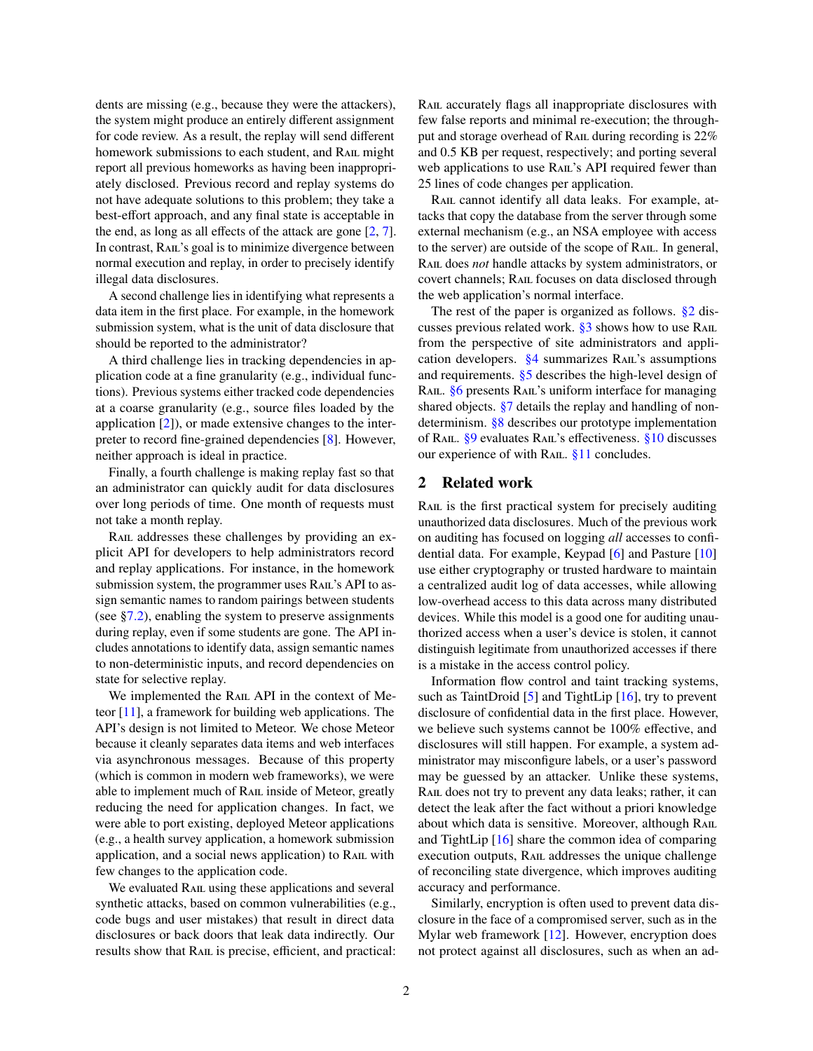dents are missing (e.g., because they were the attackers), the system might produce an entirely different assignment for code review. As a result, the replay will send different homework submissions to each student, and RAIL might report all previous homeworks as having been inappropriately disclosed. Previous record and replay systems do not have adequate solutions to this problem; they take a best-effort approach, and any final state is acceptable in the end, as long as all effects of the attack are gone [\[2,](#page-14-6) [7\]](#page-14-8). In contrast, RAIL's goal is to minimize divergence between normal execution and replay, in order to precisely identify illegal data disclosures.

A second challenge lies in identifying what represents a data item in the first place. For example, in the homework submission system, what is the unit of data disclosure that should be reported to the administrator?

A third challenge lies in tracking dependencies in application code at a fine granularity (e.g., individual functions). Previous systems either tracked code dependencies at a coarse granularity (e.g., source files loaded by the application [\[2\]](#page-14-6)), or made extensive changes to the interpreter to record fine-grained dependencies [\[8\]](#page-14-4). However, neither approach is ideal in practice.

Finally, a fourth challenge is making replay fast so that an administrator can quickly audit for data disclosures over long periods of time. One month of requests must not take a month replay.

RAIL addresses these challenges by providing an explicit API for developers to help administrators record and replay applications. For instance, in the homework submission system, the programmer uses RAIL's API to assign semantic names to random pairings between students (see  $\S$ 7.2), enabling the system to preserve assignments during replay, even if some students are gone. The API includes annotations to identify data, assign semantic names to non-deterministic inputs, and record dependencies on state for selective replay.

We implemented the RAIL API in the context of Meteor [\[11\]](#page-14-9), a framework for building web applications. The API's design is not limited to Meteor. We chose Meteor because it cleanly separates data items and web interfaces via asynchronous messages. Because of this property (which is common in modern web frameworks), we were able to implement much of RAIL inside of Meteor, greatly reducing the need for application changes. In fact, we were able to port existing, deployed Meteor applications (e.g., a health survey application, a homework submission application, and a social news application) to RAIL with few changes to the application code.

We evaluated RAIL using these applications and several synthetic attacks, based on common vulnerabilities (e.g., code bugs and user mistakes) that result in direct data disclosures or back doors that leak data indirectly. Our results show that RAIL is precise, efficient, and practical: Rail accurately flags all inappropriate disclosures with few false reports and minimal re-execution; the throughput and storage overhead of Rail during recording is 22% and 0.5 KB per request, respectively; and porting several web applications to use RAIL's API required fewer than 25 lines of code changes per application.

RAIL cannot identify all data leaks. For example, attacks that copy the database from the server through some external mechanism (e.g., an NSA employee with access to the server) are outside of the scope of RAIL. In general, Rail does *not* handle attacks by system administrators, or covert channels; Rail focuses on data disclosed through the web application's normal interface.

The rest of the paper is organized as follows. [§2](#page-1-0) discusses previous related work.  $\S$ 3 shows how to use RAIL from the perspective of site administrators and application developers.  $\frac{64}{9}$  summarizes RAIL's assumptions and requirements. [§5](#page-3-1) describes the high-level design of RAIL. [§6](#page-5-0) presents RAIL's uniform interface for managing shared objects. [§7](#page-7-0) details the replay and handling of nondeterminism. [§8](#page-9-0) describes our prototype implementation of RAIL. [§9](#page-9-1) evaluates RAIL's effectiveness. [§10](#page-12-0) discusses our experience of with RAIL.  $§11$  concludes.

# <span id="page-1-0"></span>2 Related work

RAIL is the first practical system for precisely auditing unauthorized data disclosures. Much of the previous work on auditing has focused on logging *all* accesses to confidential data. For example, Keypad [\[6\]](#page-14-2) and Pasture [\[10\]](#page-14-10) use either cryptography or trusted hardware to maintain a centralized audit log of data accesses, while allowing low-overhead access to this data across many distributed devices. While this model is a good one for auditing unauthorized access when a user's device is stolen, it cannot distinguish legitimate from unauthorized accesses if there is a mistake in the access control policy.

Information flow control and taint tracking systems, such as TaintDroid  $[5]$  and TightLip  $[16]$ , try to prevent disclosure of confidential data in the first place. However, we believe such systems cannot be 100% effective, and disclosures will still happen. For example, a system administrator may misconfigure labels, or a user's password may be guessed by an attacker. Unlike these systems, RAIL does not try to prevent any data leaks; rather, it can detect the leak after the fact without a priori knowledge about which data is sensitive. Moreover, although RAIL and TightLip [\[16\]](#page-14-12) share the common idea of comparing execution outputs, RAIL addresses the unique challenge of reconciling state divergence, which improves auditing accuracy and performance.

Similarly, encryption is often used to prevent data disclosure in the face of a compromised server, such as in the Mylar web framework [\[12\]](#page-14-13). However, encryption does not protect against all disclosures, such as when an ad-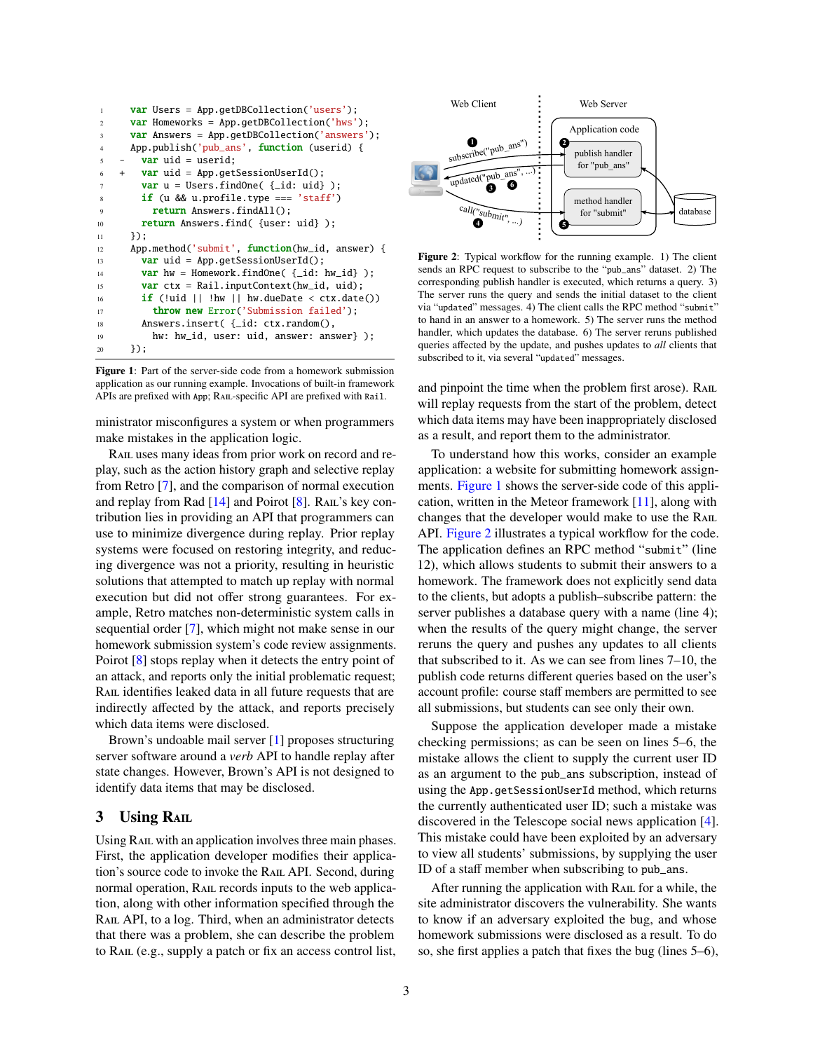```
1 var Users = App.getDBCollection('users');
2 var Homeworks = App.getDBCollection('hws');
3 var Answers = App.getDBCollection('answers');
4 App.publish('pub_ans', function (userid) {
5 - \text{var} uid = userid;
6 + var uid = App.getSessionUserId();
7 var u = Users.findOne( {_id: uid} );
8 if (u && u.profile.type === 'staff')
9 return Answers.findAll();
10 return Answers.find( {user: uid} );
_{11} }):
12 App.method('submit', function(hw_id, answer) {
13 var uid = App.getSessionUserId();
14 var hw = Homework.findOne( {_id: hw_id} );
15 var ctx = Rail.inputContext(hw_id, uid);
16 if (!uid || !hw || hw.dueDate < ctx.date())
17 throw new Error('Submission failed');
18 Answers.insert( {_id: ctx.random(),
19 hw: hw_id, user: uid, answer: answer} );
20 });
```
<span id="page-2-1"></span>Figure 1: Part of the server-side code from a homework submission application as our running example. Invocations of built-in framework APIs are prefixed with App; RAIL-specific API are prefixed with Rail.

ministrator misconfigures a system or when programmers make mistakes in the application logic.

RAIL uses many ideas from prior work on record and replay, such as the action history graph and selective replay from Retro [\[7\]](#page-14-8), and the comparison of normal execution and replay from Rad [\[14\]](#page-14-5) and Poirot [\[8\]](#page-14-4). RAIL's key contribution lies in providing an API that programmers can use to minimize divergence during replay. Prior replay systems were focused on restoring integrity, and reducing divergence was not a priority, resulting in heuristic solutions that attempted to match up replay with normal execution but did not offer strong guarantees. For example, Retro matches non-deterministic system calls in sequential order [\[7\]](#page-14-8), which might not make sense in our homework submission system's code review assignments. Poirot [\[8\]](#page-14-4) stops replay when it detects the entry point of an attack, and reports only the initial problematic request; RAIL identifies leaked data in all future requests that are indirectly affected by the attack, and reports precisely which data items were disclosed.

Brown's undoable mail server [\[1\]](#page-14-14) proposes structuring server software around a *verb* API to handle replay after state changes. However, Brown's API is not designed to identify data items that may be disclosed.

# <span id="page-2-0"></span>3 Using RAIL

Using RAIL with an application involves three main phases. First, the application developer modifies their application's source code to invoke the Rail API. Second, during normal operation, RAIL records inputs to the web application, along with other information specified through the RAIL API, to a log. Third, when an administrator detects that there was a problem, she can describe the problem to RAIL (e.g., supply a patch or fix an access control list,



<span id="page-2-2"></span>Figure 2: Typical workflow for the running example. 1) The client sends an RPC request to subscribe to the "pub\_ans" dataset. 2) The corresponding publish handler is executed, which returns a query. 3) The server runs the query and sends the initial dataset to the client via "updated" messages. 4) The client calls the RPC method "submit" to hand in an answer to a homework. 5) The server runs the method handler, which updates the database. 6) The server reruns published queries affected by the update, and pushes updates to *all* clients that subscribed to it, via several "updated" messages.

and pinpoint the time when the problem first arose). RAIL will replay requests from the start of the problem, detect which data items may have been inappropriately disclosed as a result, and report them to the administrator.

To understand how this works, consider an example application: a website for submitting homework assignments. [Figure 1](#page-2-1) shows the server-side code of this application, written in the Meteor framework [\[11\]](#page-14-9), along with changes that the developer would make to use the Rail API. [Figure 2](#page-2-2) illustrates a typical workflow for the code. The application defines an RPC method "submit" (line 12), which allows students to submit their answers to a homework. The framework does not explicitly send data to the clients, but adopts a publish–subscribe pattern: the server publishes a database query with a name (line 4); when the results of the query might change, the server reruns the query and pushes any updates to all clients that subscribed to it. As we can see from lines 7–10, the publish code returns different queries based on the user's account profile: course staff members are permitted to see all submissions, but students can see only their own.

Suppose the application developer made a mistake checking permissions; as can be seen on lines 5–6, the mistake allows the client to supply the current user ID as an argument to the pub\_ans subscription, instead of using the App.getSessionUserId method, which returns the currently authenticated user ID; such a mistake was discovered in the Telescope social news application [\[4\]](#page-14-15). This mistake could have been exploited by an adversary to view all students' submissions, by supplying the user ID of a staff member when subscribing to pub\_ans.

After running the application with RAIL for a while, the site administrator discovers the vulnerability. She wants to know if an adversary exploited the bug, and whose homework submissions were disclosed as a result. To do so, she first applies a patch that fixes the bug (lines 5–6),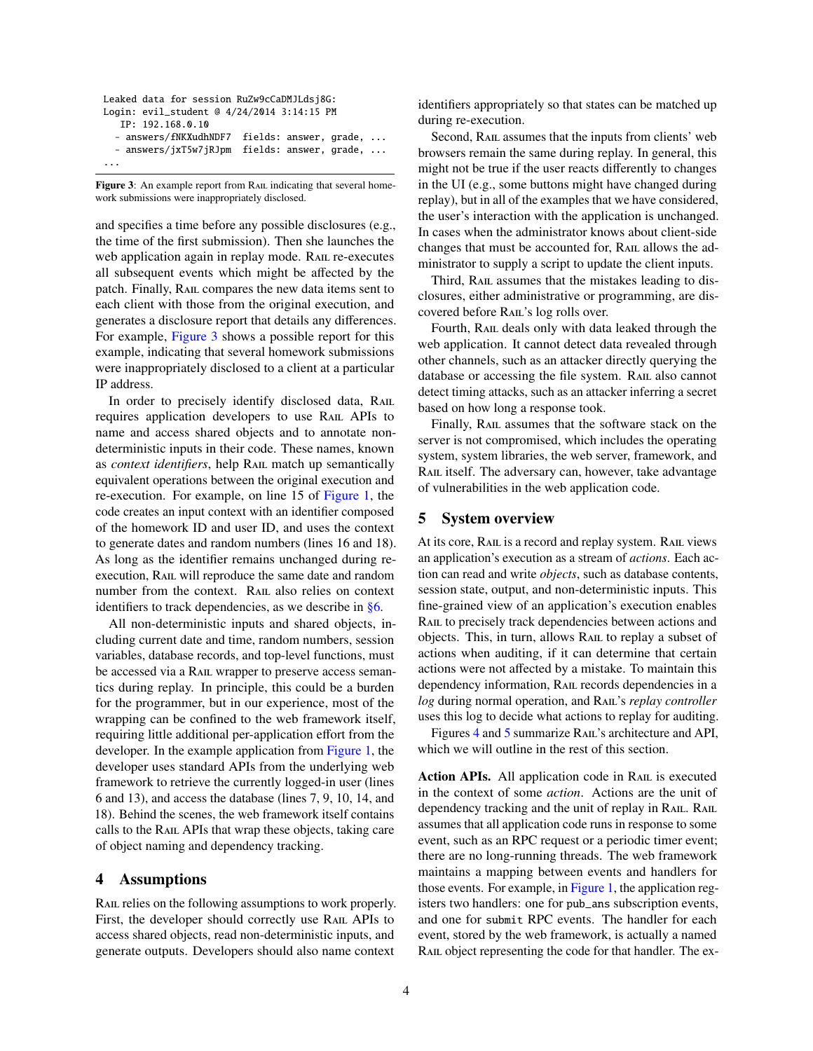```
Leaked data for session RuZw9cCaDMJLdsj8G:
Login: evil_student @ 4/24/2014 3:14:15 PM
   IP: 192.168.0.10
  - answers/fNKXudhNDF7 fields: answer, grade, ...
  - answers/jxT5w7jRJpm fields: answer, grade, ...
...
```
<span id="page-3-2"></span>Figure 3: An example report from RAIL indicating that several homework submissions were inappropriately disclosed.

and specifies a time before any possible disclosures (e.g., the time of the first submission). Then she launches the web application again in replay mode. RAIL re-executes all subsequent events which might be affected by the patch. Finally, Rail compares the new data items sent to each client with those from the original execution, and generates a disclosure report that details any differences. For example, [Figure 3](#page-3-2) shows a possible report for this example, indicating that several homework submissions were inappropriately disclosed to a client at a particular IP address.

In order to precisely identify disclosed data, RAIL requires application developers to use RAIL APIs to name and access shared objects and to annotate nondeterministic inputs in their code. These names, known as *context identifiers*, help RAIL match up semantically equivalent operations between the original execution and re-execution. For example, on line 15 of [Figure 1,](#page-2-1) the code creates an input context with an identifier composed of the homework ID and user ID, and uses the context to generate dates and random numbers (lines 16 and 18). As long as the identifier remains unchanged during reexecution, Rail will reproduce the same date and random number from the context. RAIL also relies on context identifiers to track dependencies, as we describe in [§6.](#page-5-0)

All non-deterministic inputs and shared objects, including current date and time, random numbers, session variables, database records, and top-level functions, must be accessed via a RAIL wrapper to preserve access semantics during replay. In principle, this could be a burden for the programmer, but in our experience, most of the wrapping can be confined to the web framework itself, requiring little additional per-application effort from the developer. In the example application from [Figure 1,](#page-2-1) the developer uses standard APIs from the underlying web framework to retrieve the currently logged-in user (lines 6 and 13), and access the database (lines 7, 9, 10, 14, and 18). Behind the scenes, the web framework itself contains calls to the Rail APIs that wrap these objects, taking care of object naming and dependency tracking.

# <span id="page-3-0"></span>4 Assumptions

RAIL relies on the following assumptions to work properly. First, the developer should correctly use RAIL APIs to access shared objects, read non-deterministic inputs, and generate outputs. Developers should also name context

identifiers appropriately so that states can be matched up during re-execution.

Second, RAIL assumes that the inputs from clients' web browsers remain the same during replay. In general, this might not be true if the user reacts differently to changes in the UI (e.g., some buttons might have changed during replay), but in all of the examples that we have considered, the user's interaction with the application is unchanged. In cases when the administrator knows about client-side changes that must be accounted for, RAIL allows the administrator to supply a script to update the client inputs.

Third, RAIL assumes that the mistakes leading to disclosures, either administrative or programming, are discovered before RAIL's log rolls over.

Fourth, RAIL deals only with data leaked through the web application. It cannot detect data revealed through other channels, such as an attacker directly querying the database or accessing the file system. RAIL also cannot detect timing attacks, such as an attacker inferring a secret based on how long a response took.

Finally, RAIL assumes that the software stack on the server is not compromised, which includes the operating system, system libraries, the web server, framework, and RAIL itself. The adversary can, however, take advantage of vulnerabilities in the web application code.

## <span id="page-3-1"></span>5 System overview

At its core, RAIL is a record and replay system. RAIL views an application's execution as a stream of *actions*. Each action can read and write *objects*, such as database contents, session state, output, and non-deterministic inputs. This fine-grained view of an application's execution enables RAIL to precisely track dependencies between actions and objects. This, in turn, allows RAIL to replay a subset of actions when auditing, if it can determine that certain actions were not affected by a mistake. To maintain this dependency information, RAIL records dependencies in a *log* during normal operation, and Rail's *replay controller* uses this log to decide what actions to replay for auditing.

Figures [4](#page-4-0) and [5](#page-5-1) summarize RAIL's architecture and API, which we will outline in the rest of this section.

Action APIs. All application code in RAIL is executed in the context of some *action*. Actions are the unit of dependency tracking and the unit of replay in RAIL. RAIL assumes that all application code runs in response to some event, such as an RPC request or a periodic timer event; there are no long-running threads. The web framework maintains a mapping between events and handlers for those events. For example, in [Figure 1,](#page-2-1) the application registers two handlers: one for pub\_ans subscription events, and one for submit RPC events. The handler for each event, stored by the web framework, is actually a named RAIL object representing the code for that handler. The ex-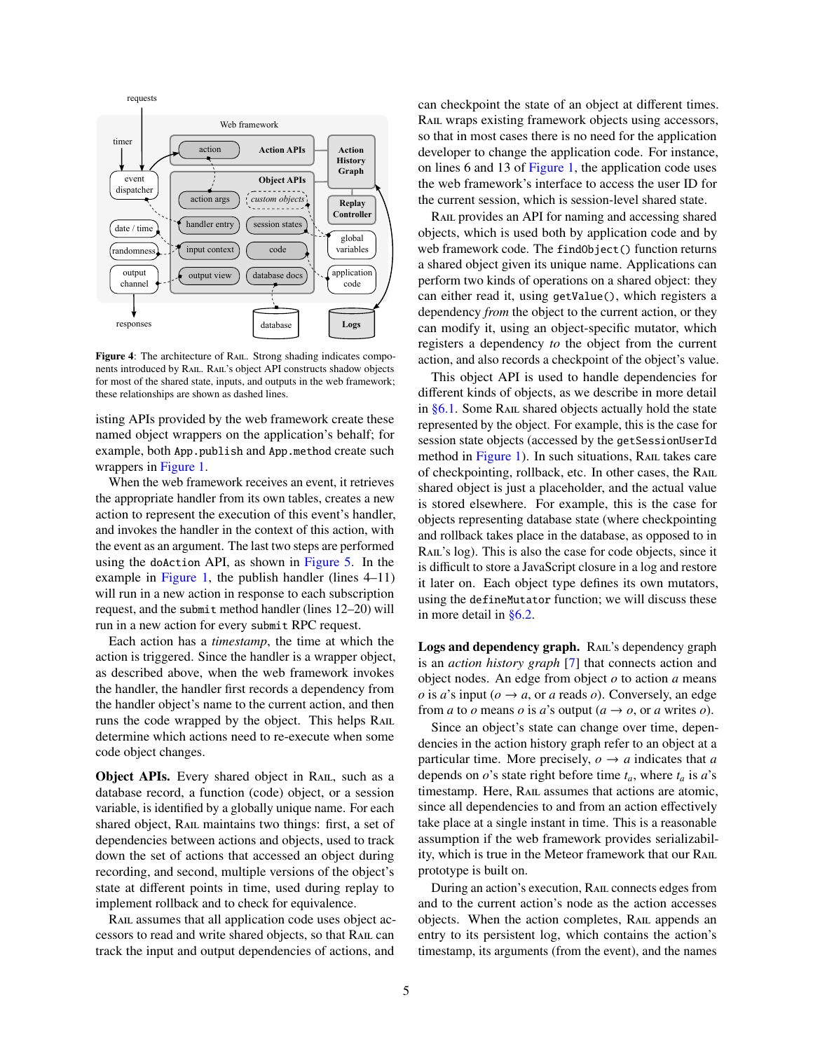

<span id="page-4-0"></span>Figure 4: The architecture of RAIL. Strong shading indicates components introduced by Rail. Rail's object API constructs shadow objects for most of the shared state, inputs, and outputs in the web framework; these relationships are shown as dashed lines.

isting APIs provided by the web framework create these named object wrappers on the application's behalf; for example, both App.publish and App.method create such wrappers in [Figure 1.](#page-2-1)

When the web framework receives an event, it retrieves the appropriate handler from its own tables, creates a new action to represent the execution of this event's handler, and invokes the handler in the context of this action, with the event as an argument. The last two steps are performed using the doAction API, as shown in [Figure 5.](#page-5-1) In the example in [Figure 1,](#page-2-1) the publish handler (lines  $4-11$ ) will run in a new action in response to each subscription request, and the submit method handler (lines 12–20) will run in a new action for every submit RPC request.

Each action has a *timestamp*, the time at which the action is triggered. Since the handler is a wrapper object, as described above, when the web framework invokes the handler, the handler first records a dependency from the handler object's name to the current action, and then runs the code wrapped by the object. This helps RAIL determine which actions need to re-execute when some code object changes.

**Object APIs.** Every shared object in RAIL, such as a database record, a function (code) object, or a session variable, is identified by a globally unique name. For each shared object, RAIL maintains two things: first, a set of dependencies between actions and objects, used to track down the set of actions that accessed an object during recording, and second, multiple versions of the object's state at different points in time, used during replay to implement rollback and to check for equivalence.

RAIL assumes that all application code uses object accessors to read and write shared objects, so that Rail can track the input and output dependencies of actions, and

can checkpoint the state of an object at different times. Rail wraps existing framework objects using accessors, so that in most cases there is no need for the application developer to change the application code. For instance, on lines 6 and 13 of [Figure 1,](#page-2-1) the application code uses the web framework's interface to access the user ID for the current session, which is session-level shared state.

RAIL provides an API for naming and accessing shared objects, which is used both by application code and by web framework code. The findObject() function returns a shared object given its unique name. Applications can perform two kinds of operations on a shared object: they can either read it, using getValue(), which registers a dependency *from* the object to the current action, or they can modify it, using an object-specific mutator, which registers a dependency *to* the object from the current action, and also records a checkpoint of the object's value.

This object API is used to handle dependencies for different kinds of objects, as we describe in more detail in [§6.1.](#page-5-2) Some RAIL shared objects actually hold the state represented by the object. For example, this is the case for session state objects (accessed by the getSessionUserId method in [Figure 1\)](#page-2-1). In such situations, RAIL takes care of checkpointing, rollback, etc. In other cases, the Rail shared object is just a placeholder, and the actual value is stored elsewhere. For example, this is the case for objects representing database state (where checkpointing and rollback takes place in the database, as opposed to in RAIL's log). This is also the case for code objects, since it is difficult to store a JavaScript closure in a log and restore it later on. Each object type defines its own mutators, using the defineMutator function; we will discuss these in more detail in [§6.2.](#page-6-0)

Logs and dependency graph. RAIL's dependency graph is an *action history graph* [\[7\]](#page-14-8) that connects action and object nodes. An edge from object *o* to action *a* means *o* is *a*'s input ( $o \rightarrow a$ , or *a* reads *o*). Conversely, an edge from *a* to *o* means *o* is *a*'s output ( $a \rightarrow o$ , or *a* writes *o*).

Since an object's state can change over time, dependencies in the action history graph refer to an object at a particular time. More precisely,  $o \rightarrow a$  indicates that *a* depends on  $o$ 's state right before time  $t_a$ , where  $t_a$  is  $a$ 's timestamp. Here, RAIL assumes that actions are atomic, since all dependencies to and from an action effectively take place at a single instant in time. This is a reasonable assumption if the web framework provides serializability, which is true in the Meteor framework that our RAIL prototype is built on.

During an action's execution, Rail connects edges from and to the current action's node as the action accesses objects. When the action completes, RAIL appends an entry to its persistent log, which contains the action's timestamp, its arguments (from the event), and the names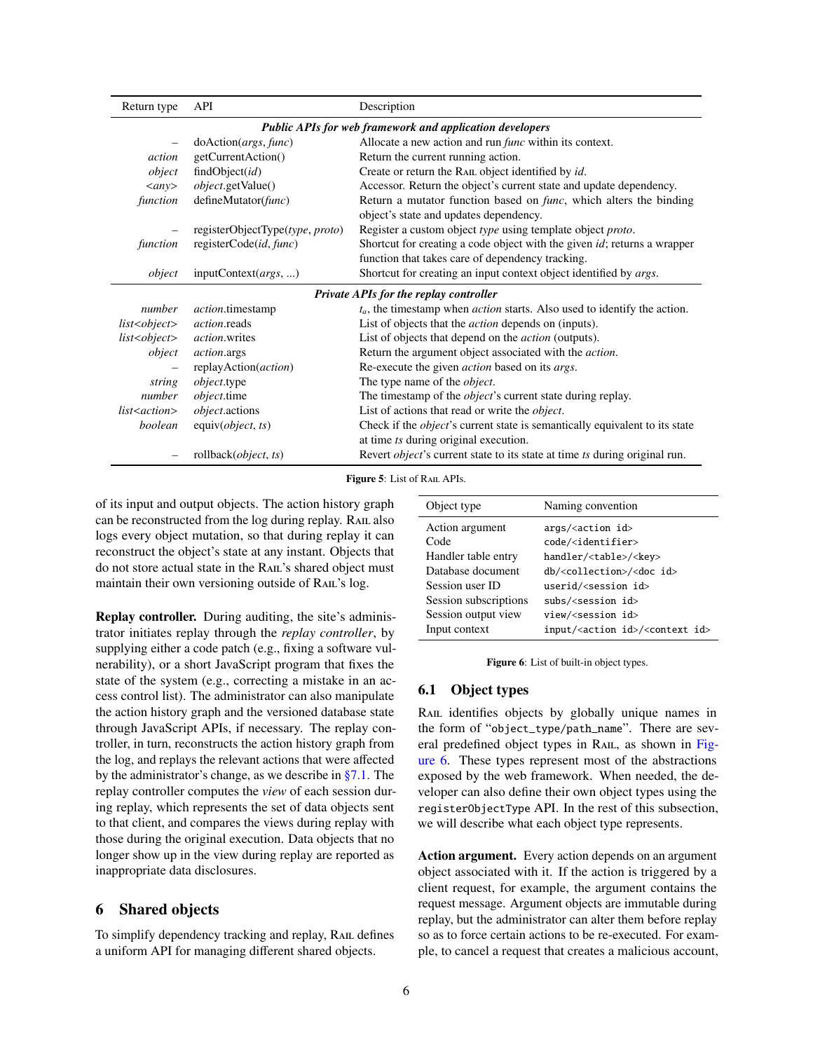| Return type                                                     | API                                           | Description                                                                        |  |  |  |  |  |  |
|-----------------------------------------------------------------|-----------------------------------------------|------------------------------------------------------------------------------------|--|--|--|--|--|--|
| <b>Public APIs for web framework and application developers</b> |                                               |                                                                                    |  |  |  |  |  |  |
|                                                                 | doAction(args, func)                          | Allocate a new action and run <i>func</i> within its context.                      |  |  |  |  |  |  |
| action                                                          | getCurrentAction()                            | Return the current running action.                                                 |  |  |  |  |  |  |
| object                                                          | findObject(id)                                | Create or return the RAIL object identified by id.                                 |  |  |  |  |  |  |
| $\langle$ any $\rangle$                                         | <i>object.getValue()</i>                      | Accessor. Return the object's current state and update dependency.                 |  |  |  |  |  |  |
| function                                                        | defineMutator(func)                           | Return a mutator function based on <i>func</i> , which alters the binding          |  |  |  |  |  |  |
|                                                                 |                                               | object's state and updates dependency.                                             |  |  |  |  |  |  |
|                                                                 | registerObjectType(type, proto)               | Register a custom object type using template object proto.                         |  |  |  |  |  |  |
| function                                                        | registerCode(id, func)                        | Shortcut for creating a code object with the given <i>id</i> ; returns a wrapper   |  |  |  |  |  |  |
|                                                                 |                                               | function that takes care of dependency tracking.                                   |  |  |  |  |  |  |
| object                                                          | inputContext(args, )                          | Shortcut for creating an input context object identified by <i>args</i> .          |  |  |  |  |  |  |
|                                                                 | <b>Private APIs for the replay controller</b> |                                                                                    |  |  |  |  |  |  |
| number                                                          | <i>action</i> .timestamp                      | $t_a$ , the timestamp when <i>action</i> starts. Also used to identify the action. |  |  |  |  |  |  |
| list < object>                                                  | <i>action</i> .reads                          | List of objects that the <i>action</i> depends on (inputs).                        |  |  |  |  |  |  |
| list < object>                                                  | <i>action</i> .writes                         | List of objects that depend on the <i>action</i> (outputs).                        |  |  |  |  |  |  |
| object                                                          | <i>action.args</i>                            | Return the argument object associated with the <i>action</i> .                     |  |  |  |  |  |  |
|                                                                 | replayAction( <i>action</i> )                 | Re-execute the given <i>action</i> based on its <i>args</i> .                      |  |  |  |  |  |  |
| string                                                          | <i>object</i> .type                           | The type name of the <i>object</i> .                                               |  |  |  |  |  |  |
| number                                                          | <i>object</i> .time                           | The timestamp of the <i>object's</i> current state during replay.                  |  |  |  |  |  |  |
| list <action></action>                                          | <i>object.actions</i>                         | List of actions that read or write the <i>object</i> .                             |  |  |  |  |  |  |
| boolean                                                         | equiv(object, ts)                             | Check if the <i>object's</i> current state is semantically equivalent to its state |  |  |  |  |  |  |
|                                                                 |                                               | at time ts during original execution.                                              |  |  |  |  |  |  |
|                                                                 | rollback( <i>object</i> , ts)                 | Revert <i>object's</i> current state to its state at time ts during original run.  |  |  |  |  |  |  |

Figure 5: List of RAIL APIs.

of its input and output objects. The action history graph can be reconstructed from the log during replay. RAIL also logs every object mutation, so that during replay it can reconstruct the object's state at any instant. Objects that do not store actual state in the RAIL's shared object must maintain their own versioning outside of RAIL's log.

Replay controller. During auditing, the site's administrator initiates replay through the *replay controller*, by supplying either a code patch (e.g., fixing a software vulnerability), or a short JavaScript program that fixes the state of the system (e.g., correcting a mistake in an access control list). The administrator can also manipulate the action history graph and the versioned database state through JavaScript APIs, if necessary. The replay controller, in turn, reconstructs the action history graph from the log, and replays the relevant actions that were affected by the administrator's change, as we describe in [§7.1.](#page-7-1) The replay controller computes the *view* of each session during replay, which represents the set of data objects sent to that client, and compares the views during replay with those during the original execution. Data objects that no longer show up in the view during replay are reported as inappropriate data disclosures.

# <span id="page-5-0"></span>6 Shared objects

<span id="page-5-2"></span>To simplify dependency tracking and replay, RAIL defines a uniform API for managing different shared objects.

<span id="page-5-1"></span>

| Object type           | Naming convention                                        |  |  |  |
|-----------------------|----------------------------------------------------------|--|--|--|
| Action argument       | $args/caction$ id>                                       |  |  |  |
| Code                  | code/ <identifier></identifier>                          |  |  |  |
| Handler table entry   | handler/ <table>/<key></key></table>                     |  |  |  |
| Database document     | db/ <collection>/<doc id=""></doc></collection>          |  |  |  |
| Session user ID       | userid/ <session id=""></session>                        |  |  |  |
| Session subscriptions | $subs/ession id>$                                        |  |  |  |
| Session output view   | view/ <session id=""></session>                          |  |  |  |
| Input context         | input/ <action id="">/<context id=""></context></action> |  |  |  |

<span id="page-5-3"></span>

|  |  | Figure 6: List of built-in object types. |  |
|--|--|------------------------------------------|--|
|  |  |                                          |  |

## 6.1 Object types

RAIL identifies objects by globally unique names in the form of "object\_type/path\_name". There are sev-eral predefined object types in RAIL, as shown in [Fig](#page-5-3)[ure 6.](#page-5-3) These types represent most of the abstractions exposed by the web framework. When needed, the developer can also define their own object types using the registerObjectType API. In the rest of this subsection, we will describe what each object type represents.

Action argument. Every action depends on an argument object associated with it. If the action is triggered by a client request, for example, the argument contains the request message. Argument objects are immutable during replay, but the administrator can alter them before replay so as to force certain actions to be re-executed. For example, to cancel a request that creates a malicious account,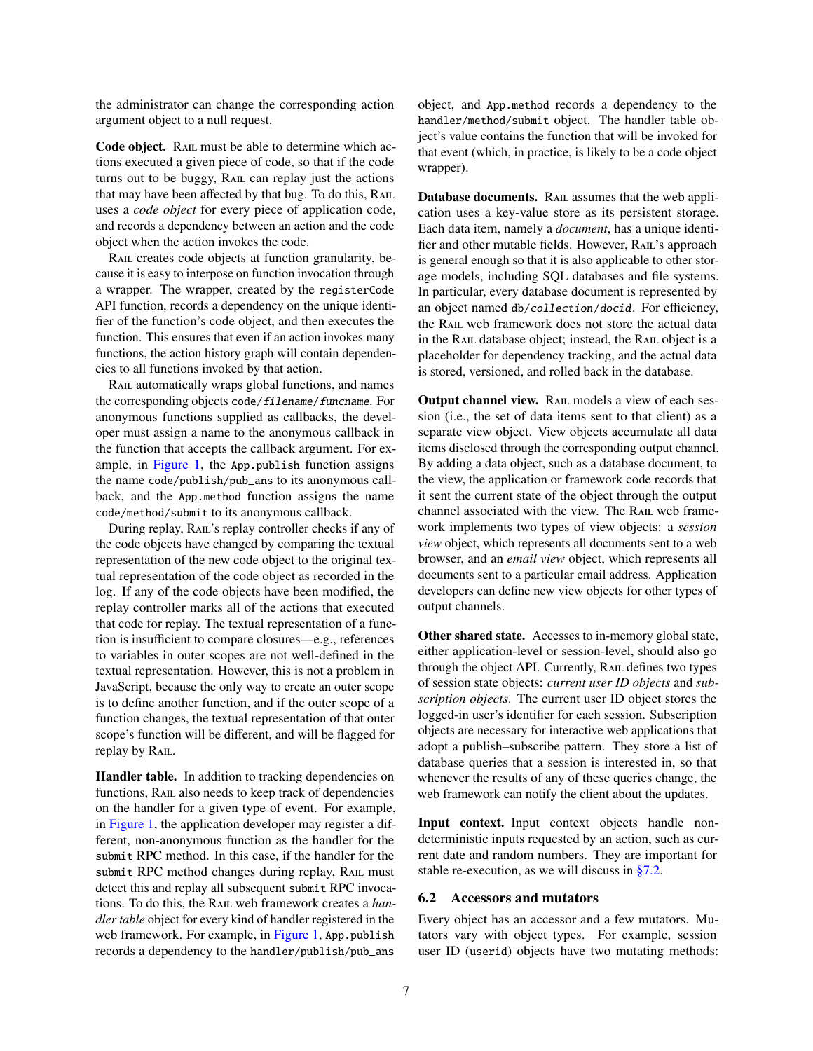the administrator can change the corresponding action argument object to a null request.

Code object. RAIL must be able to determine which actions executed a given piece of code, so that if the code turns out to be buggy, Rail can replay just the actions that may have been affected by that bug. To do this, RAIL uses a *code object* for every piece of application code, and records a dependency between an action and the code object when the action invokes the code.

RAIL creates code objects at function granularity, because it is easy to interpose on function invocation through a wrapper. The wrapper, created by the registerCode API function, records a dependency on the unique identifier of the function's code object, and then executes the function. This ensures that even if an action invokes many functions, the action history graph will contain dependencies to all functions invoked by that action.

RAIL automatically wraps global functions, and names the corresponding objects code/filename/funcname. For anonymous functions supplied as callbacks, the developer must assign a name to the anonymous callback in the function that accepts the callback argument. For example, in [Figure 1,](#page-2-1) the App.publish function assigns the name code/publish/pub\_ans to its anonymous callback, and the App.method function assigns the name code/method/submit to its anonymous callback.

During replay, RAIL's replay controller checks if any of the code objects have changed by comparing the textual representation of the new code object to the original textual representation of the code object as recorded in the log. If any of the code objects have been modified, the replay controller marks all of the actions that executed that code for replay. The textual representation of a function is insufficient to compare closures—e.g., references to variables in outer scopes are not well-defined in the textual representation. However, this is not a problem in JavaScript, because the only way to create an outer scope is to define another function, and if the outer scope of a function changes, the textual representation of that outer scope's function will be different, and will be flagged for replay by RAIL.

Handler table. In addition to tracking dependencies on functions, RAIL also needs to keep track of dependencies on the handler for a given type of event. For example, in [Figure 1,](#page-2-1) the application developer may register a different, non-anonymous function as the handler for the submit RPC method. In this case, if the handler for the submit RPC method changes during replay, RAIL must detect this and replay all subsequent submit RPC invocations. To do this, the Rail web framework creates a *handler table* object for every kind of handler registered in the web framework. For example, in [Figure 1,](#page-2-1) App. publish records a dependency to the handler/publish/pub\_ans

object, and App.method records a dependency to the handler/method/submit object. The handler table object's value contains the function that will be invoked for that event (which, in practice, is likely to be a code object wrapper).

Database documents. RAIL assumes that the web application uses a key-value store as its persistent storage. Each data item, namely a *document*, has a unique identifier and other mutable fields. However, Rail's approach is general enough so that it is also applicable to other storage models, including SQL databases and file systems. In particular, every database document is represented by an object named db/collection/docid. For efficiency, the Rail web framework does not store the actual data in the RAIL database object; instead, the RAIL object is a placeholder for dependency tracking, and the actual data is stored, versioned, and rolled back in the database.

Output channel view. Rail models a view of each session (i.e., the set of data items sent to that client) as a separate view object. View objects accumulate all data items disclosed through the corresponding output channel. By adding a data object, such as a database document, to the view, the application or framework code records that it sent the current state of the object through the output channel associated with the view. The RAIL web framework implements two types of view objects: a *session view* object, which represents all documents sent to a web browser, and an *email view* object, which represents all documents sent to a particular email address. Application developers can define new view objects for other types of output channels.

Other shared state. Accesses to in-memory global state, either application-level or session-level, should also go through the object API. Currently, RAIL defines two types of session state objects: *current user ID objects* and *subscription objects*. The current user ID object stores the logged-in user's identifier for each session. Subscription objects are necessary for interactive web applications that adopt a publish–subscribe pattern. They store a list of database queries that a session is interested in, so that whenever the results of any of these queries change, the web framework can notify the client about the updates.

Input context. Input context objects handle nondeterministic inputs requested by an action, such as current date and random numbers. They are important for stable re-execution, as we will discuss in [§7.2.](#page-8-0)

## <span id="page-6-0"></span>6.2 Accessors and mutators

Every object has an accessor and a few mutators. Mutators vary with object types. For example, session user ID (userid) objects have two mutating methods: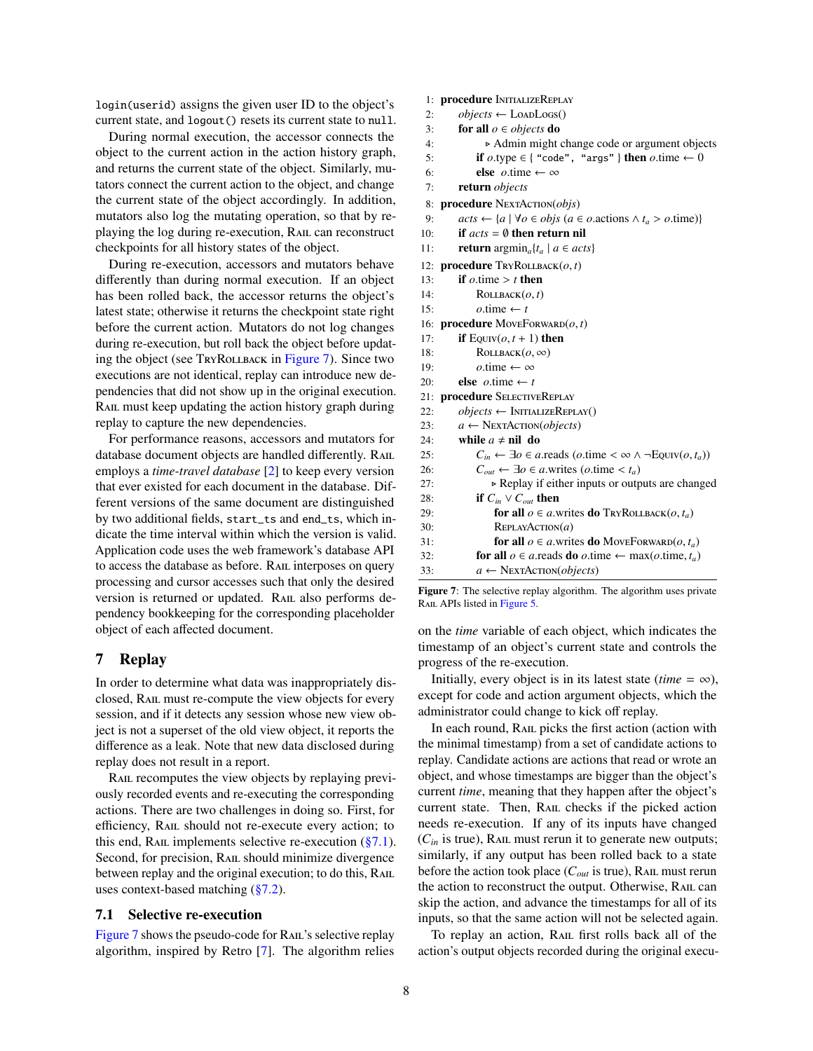login(userid) assigns the given user ID to the object's current state, and logout() resets its current state to null.

During normal execution, the accessor connects the object to the current action in the action history graph, and returns the current state of the object. Similarly, mutators connect the current action to the object, and change the current state of the object accordingly. In addition, mutators also log the mutating operation, so that by replaying the log during re-execution, Rail can reconstruct checkpoints for all history states of the object.

During re-execution, accessors and mutators behave differently than during normal execution. If an object has been rolled back, the accessor returns the object's latest state; otherwise it returns the checkpoint state right before the current action. Mutators do not log changes during re-execution, but roll back the object before updating the object (see TryRollback in [Figure 7\)](#page-7-2). Since two executions are not identical, replay can introduce new dependencies that did not show up in the original execution. RAIL must keep updating the action history graph during replay to capture the new dependencies.

For performance reasons, accessors and mutators for database document objects are handled differently. RAIL employs a *time-travel database* [\[2\]](#page-14-6) to keep every version that ever existed for each document in the database. Different versions of the same document are distinguished by two additional fields, start\_ts and end\_ts, which indicate the time interval within which the version is valid. Application code uses the web framework's database API to access the database as before. Rail interposes on query processing and cursor accesses such that only the desired version is returned or updated. RAIL also performs dependency bookkeeping for the corresponding placeholder object of each affected document.

# <span id="page-7-0"></span>7 Replay

In order to determine what data was inappropriately disclosed, Rail must re-compute the view objects for every session, and if it detects any session whose new view object is not a superset of the old view object, it reports the difference as a leak. Note that new data disclosed during replay does not result in a report.

RAIL recomputes the view objects by replaying previously recorded events and re-executing the corresponding actions. There are two challenges in doing so. First, for efficiency, RAIL should not re-execute every action; to this end, RAIL implements selective re-execution  $(\S7.1)$ . Second, for precision, RAIL should minimize divergence between replay and the original execution; to do this, RAIL uses context-based matching [\(§7.2\)](#page-8-0).

#### <span id="page-7-1"></span>7.1 Selective re-execution

[Figure 7](#page-7-2) shows the pseudo-code for RAIL's selective replay algorithm, inspired by Retro [\[7\]](#page-14-8). The algorithm relies 1: procedure InitializeReplay

```
2: objects \leftarrow LoapLogs()
```
- 3: for all *o* ∈ *objects* do
- 4:  $\triangleright$  Admin might change code or argument objects<br>5: **if**  $o.\text{type} \in \{ \text{ "code", \text{ "args"} } \}$  **then**  $o.\text{time} \leftarrow 0$

```
5: if o.\text{type} \in \{ \text{``code''}, \text{``args''} \} \text{ then } o.\text{time} \leftarrow 0<br>6: else o.\text{time} \leftarrow \infty
```

```
6: else o.time \leftarrow \infty<br>7: return objects
```
7: return *objects*

8: procedure NEXTACTION(*objs*)

```
9: acts \leftarrow \{a \mid \forall o \in objs (a \in o.actions \land t_a > o.time)\}<br>10: if acts = 0 then return nil
```

```
10: if acts = ∅ then return nil
```
- 11: **return**  $\argmin_a \{t_a \mid a \in acts\}$
- 12: **procedure**  $T_{\text{RYROLLBACK}}(o, t)$ <br>13: **if**  $o$ , time >  $t$  **then**
- 13: **if**  $o$ .time > *t* **then**<br>14: **ROLLBACK** $(o, t)$
- 14: ROLLBACK $(o, t)$ <br>15:  $o.\text{time} \leftarrow t$
- 15:  $o$ .time ← *t*<br>16: **procedure** Move 16: **procedure** MoveForward $(o, t)$ <br>17: **if** Found  $t+1$  **then**
- 17: **if**  $E_{\text{QUIV}}(o, t+1)$  then<br>18: **ROLLBACK** $(o, \infty)$
- 18: **ROLLBACK** $(o, \infty)$ <br>19:  $o.\text{time} \leftarrow \infty$
- 19:  $o.\text{time} \leftarrow \infty$ <br>20: **else**  $o.\text{time} \leftarrow t$
- 20: **else**  $o$ .time  $\leftarrow t$ <br>21: **procedure** SELECTIV
- procedure SELECTIVEREPLAY 22:  $objects \leftarrow \text{INITIALIZEREPLAN}()$
- 23:  $a \leftarrow \text{NextACTION}(objects)$
- 24: while  $a \neq$  nil do
- 25:  $C_{in} \leftarrow \exists o \in a \text{.reads } (o \text{.time} < \infty \land \neg \text{EQUIV}(o, t_a))$ <br>26:  $C_{out} \leftarrow \exists o \in a \text{.writes } (o \text{.time} < t_a)$
- 26:  $C_{out} \leftarrow \exists o \in a \text{.writes } (o \text{.time} < t_a)$ <br>27:  $\rightarrow \text{Replay if either inputs or outp}$ 27:  $\triangleright$  Replay if either inputs or outputs are changed<br>28: **if**  $C_{in} \vee C_{out}$  **then** if  $C_{in} \vee C_{out}$  then
- 29: **for all**  $o \in a$ .writes **do**  $Tr{\text{ROLLBACK}(o, t_a)}$ <br>30: **REPLAYACTION**(*a*) REPLAYACTION(*a*) 31: **for all**  $o \in a$  writes **do** MoveForward(*o*, *t<sub>a</sub>*) <br>32: **for all**  $o \in a$  reads **do** *o*, time  $\leftarrow$  max(*o*, time, *t<sub>c</sub>*)

32: **for all**  $o \in a$  reads **do**  $o$  time  $\leftarrow \max(o$ .time,  $t_a$ )<br>33:  $a \leftarrow \text{NextACTION}(objects)$ 33: *a* ← NextAction(*objects*)

<span id="page-7-2"></span>Figure 7: The selective replay algorithm. The algorithm uses private RAIL APIs listed in [Figure 5.](#page-5-1)

on the *time* variable of each object, which indicates the timestamp of an object's current state and controls the progress of the re-execution.

Initially, every object is in its latest state (*time* =  $\infty$ ), except for code and action argument objects, which the administrator could change to kick off replay.

In each round, RAIL picks the first action (action with the minimal timestamp) from a set of candidate actions to replay. Candidate actions are actions that read or wrote an object, and whose timestamps are bigger than the object's current *time*, meaning that they happen after the object's current state. Then, RAIL checks if the picked action needs re-execution. If any of its inputs have changed  $(C<sub>in</sub>$  is true), RAIL must rerun it to generate new outputs; similarly, if any output has been rolled back to a state before the action took place  $(C_{out}$  is true), RAIL must rerun the action to reconstruct the output. Otherwise, RAIL can skip the action, and advance the timestamps for all of its inputs, so that the same action will not be selected again.

To replay an action, RAIL first rolls back all of the action's output objects recorded during the original execu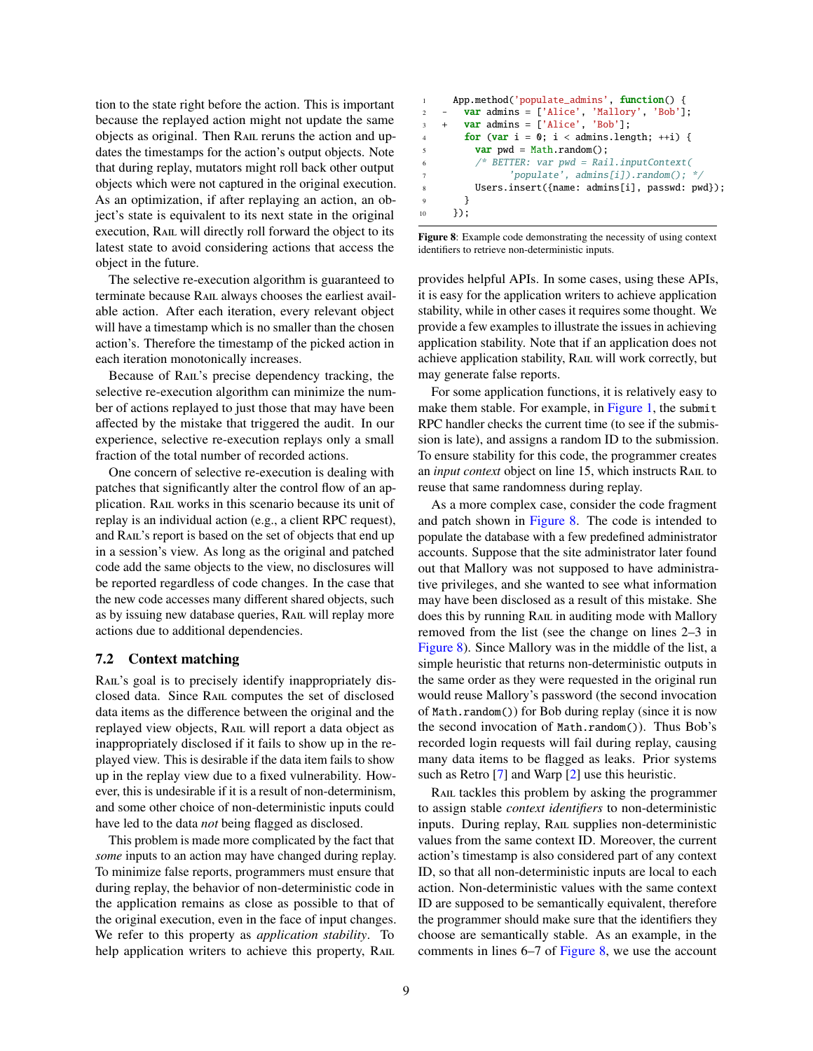tion to the state right before the action. This is important because the replayed action might not update the same objects as original. Then Rail reruns the action and updates the timestamps for the action's output objects. Note that during replay, mutators might roll back other output objects which were not captured in the original execution. As an optimization, if after replaying an action, an object's state is equivalent to its next state in the original execution, RAIL will directly roll forward the object to its latest state to avoid considering actions that access the object in the future.

The selective re-execution algorithm is guaranteed to terminate because Rail always chooses the earliest available action. After each iteration, every relevant object will have a timestamp which is no smaller than the chosen action's. Therefore the timestamp of the picked action in each iteration monotonically increases.

Because of RAIL's precise dependency tracking, the selective re-execution algorithm can minimize the number of actions replayed to just those that may have been affected by the mistake that triggered the audit. In our experience, selective re-execution replays only a small fraction of the total number of recorded actions.

One concern of selective re-execution is dealing with patches that significantly alter the control flow of an application. Rail works in this scenario because its unit of replay is an individual action (e.g., a client RPC request), and RAIL's report is based on the set of objects that end up in a session's view. As long as the original and patched code add the same objects to the view, no disclosures will be reported regardless of code changes. In the case that the new code accesses many different shared objects, such as by issuing new database queries, RAIL will replay more actions due to additional dependencies.

#### <span id="page-8-0"></span>7.2 Context matching

RAIL's goal is to precisely identify inappropriately disclosed data. Since Rail computes the set of disclosed data items as the difference between the original and the replayed view objects, RAIL will report a data object as inappropriately disclosed if it fails to show up in the replayed view. This is desirable if the data item fails to show up in the replay view due to a fixed vulnerability. However, this is undesirable if it is a result of non-determinism, and some other choice of non-deterministic inputs could have led to the data *not* being flagged as disclosed.

This problem is made more complicated by the fact that *some* inputs to an action may have changed during replay. To minimize false reports, programmers must ensure that during replay, the behavior of non-deterministic code in the application remains as close as possible to that of the original execution, even in the face of input changes. We refer to this property as *application stability*. To help application writers to achieve this property, RAIL

```
1 App.method('populate_admins', function() {
2 - var admins = ['Alice', 'Mallory', 'Bob'];
3 + \text{var } \text{admins} = ['Alice', 'Bob'];
4 for (var i = 0; i < admins.length; +i) {
          var pwd = Math.random();
          6 /* BETTER: var pwd = Rail.inputContext(
                 'populate', admins[i]).random(); */
          Users.insert({name: admins[i], passwd: pwd});
        9 }
10 });
```
<span id="page-8-1"></span>Figure 8: Example code demonstrating the necessity of using context identifiers to retrieve non-deterministic inputs.

provides helpful APIs. In some cases, using these APIs, it is easy for the application writers to achieve application stability, while in other cases it requires some thought. We provide a few examples to illustrate the issues in achieving application stability. Note that if an application does not achieve application stability, Rail will work correctly, but may generate false reports.

For some application functions, it is relatively easy to make them stable. For example, in [Figure 1,](#page-2-1) the submit RPC handler checks the current time (to see if the submission is late), and assigns a random ID to the submission. To ensure stability for this code, the programmer creates an *input context* object on line 15, which instructs RAIL to reuse that same randomness during replay.

As a more complex case, consider the code fragment and patch shown in [Figure 8.](#page-8-1) The code is intended to populate the database with a few predefined administrator accounts. Suppose that the site administrator later found out that Mallory was not supposed to have administrative privileges, and she wanted to see what information may have been disclosed as a result of this mistake. She does this by running RAIL in auditing mode with Mallory removed from the list (see the change on lines 2–3 in [Figure 8\)](#page-8-1). Since Mallory was in the middle of the list, a simple heuristic that returns non-deterministic outputs in the same order as they were requested in the original run would reuse Mallory's password (the second invocation of Math.random()) for Bob during replay (since it is now the second invocation of Math.random()). Thus Bob's recorded login requests will fail during replay, causing many data items to be flagged as leaks. Prior systems such as Retro [\[7\]](#page-14-8) and Warp [\[2\]](#page-14-6) use this heuristic.

RAIL tackles this problem by asking the programmer to assign stable *context identifiers* to non-deterministic inputs. During replay, RAIL supplies non-deterministic values from the same context ID. Moreover, the current action's timestamp is also considered part of any context ID, so that all non-deterministic inputs are local to each action. Non-deterministic values with the same context ID are supposed to be semantically equivalent, therefore the programmer should make sure that the identifiers they choose are semantically stable. As an example, in the comments in lines 6–7 of [Figure 8,](#page-8-1) we use the account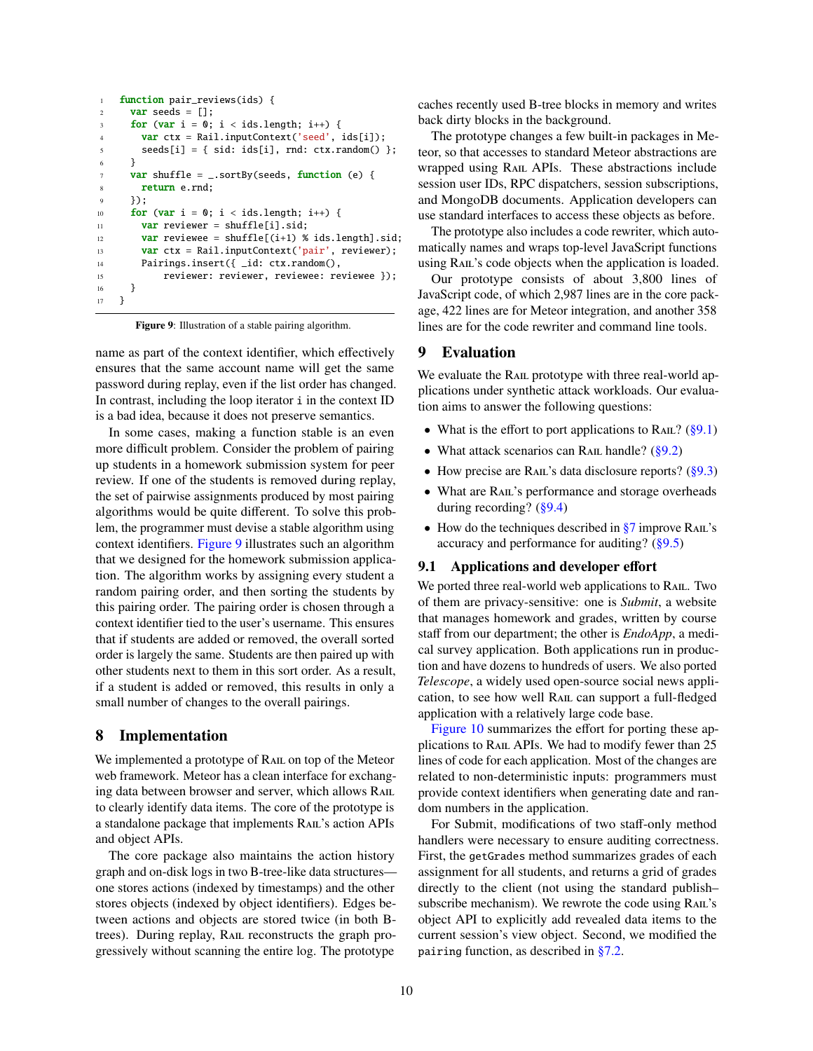```
1 function pair_reviews(ids) {
2 var seeds = [];
     for (var i = 0; i < ids.length; i++) {
4 var ctx = Rail.inputContext('seed', ids[i]);
s seeds[i] = { sid: ids[i], rnd: ctx.random() };
6 }
7 var shuffle = _.sortBy(seeds, function (e) {
8 return e.rnd;
9 });
10 for (var i = 0; i < ids.length; i++) {
11 var reviewer = shuffle[i].sid;
12 var reviewee = shuffle[(i+1) % ids.length].sid;
13 var ctx = Rail.inputContext('pair', reviewer);
14 Pairings.insert({ _id: ctx.random(),
15 reviewer: reviewer, reviewee: reviewee });
16 }
17 }
```
<span id="page-9-2"></span>Figure 9: Illustration of a stable pairing algorithm.

name as part of the context identifier, which effectively ensures that the same account name will get the same password during replay, even if the list order has changed. In contrast, including the loop iterator i in the context ID is a bad idea, because it does not preserve semantics.

In some cases, making a function stable is an even more difficult problem. Consider the problem of pairing up students in a homework submission system for peer review. If one of the students is removed during replay, the set of pairwise assignments produced by most pairing algorithms would be quite different. To solve this problem, the programmer must devise a stable algorithm using context identifiers. [Figure 9](#page-9-2) illustrates such an algorithm that we designed for the homework submission application. The algorithm works by assigning every student a random pairing order, and then sorting the students by this pairing order. The pairing order is chosen through a context identifier tied to the user's username. This ensures that if students are added or removed, the overall sorted order is largely the same. Students are then paired up with other students next to them in this sort order. As a result, if a student is added or removed, this results in only a small number of changes to the overall pairings.

# <span id="page-9-0"></span>8 Implementation

We implemented a prototype of RAIL on top of the Meteor web framework. Meteor has a clean interface for exchanging data between browser and server, which allows Rail to clearly identify data items. The core of the prototype is a standalone package that implements Rail's action APIs and object APIs.

The core package also maintains the action history graph and on-disk logs in two B-tree-like data structures one stores actions (indexed by timestamps) and the other stores objects (indexed by object identifiers). Edges between actions and objects are stored twice (in both Btrees). During replay, RAIL reconstructs the graph progressively without scanning the entire log. The prototype

caches recently used B-tree blocks in memory and writes back dirty blocks in the background.

The prototype changes a few built-in packages in Meteor, so that accesses to standard Meteor abstractions are wrapped using RAIL APIs. These abstractions include session user IDs, RPC dispatchers, session subscriptions, and MongoDB documents. Application developers can use standard interfaces to access these objects as before.

The prototype also includes a code rewriter, which automatically names and wraps top-level JavaScript functions using RAIL's code objects when the application is loaded.

Our prototype consists of about 3,800 lines of JavaScript code, of which 2,987 lines are in the core package, 422 lines are for Meteor integration, and another 358 lines are for the code rewriter and command line tools.

# <span id="page-9-1"></span>9 Evaluation

We evaluate the RAIL prototype with three real-world applications under synthetic attack workloads. Our evaluation aims to answer the following questions:

- What is the effort to port applications to RAIL?  $(\S 9.1)$
- What attack scenarios can RAIL handle? [\(§9.2\)](#page-9-4)
- How precise are RAIL's data disclosure reports?  $(\S 9.3)$
- What are RAIL's performance and storage overheads during recording? [\(§9.4\)](#page-10-1)
- How do the techniques described in  $\S7$  improve RAIL's accuracy and performance for auditing? [\(§9.5\)](#page-12-1)

#### <span id="page-9-3"></span>9.1 Applications and developer effort

We ported three real-world web applications to RAIL. Two of them are privacy-sensitive: one is *Submit*, a website that manages homework and grades, written by course staff from our department; the other is *EndoApp*, a medical survey application. Both applications run in production and have dozens to hundreds of users. We also ported *Telescope*, a widely used open-source social news application, to see how well RAIL can support a full-fledged application with a relatively large code base.

[Figure 10](#page-10-2) summarizes the effort for porting these applications to Rail APIs. We had to modify fewer than 25 lines of code for each application. Most of the changes are related to non-deterministic inputs: programmers must provide context identifiers when generating date and random numbers in the application.

<span id="page-9-4"></span>For Submit, modifications of two staff-only method handlers were necessary to ensure auditing correctness. First, the getGrades method summarizes grades of each assignment for all students, and returns a grid of grades directly to the client (not using the standard publish– subscribe mechanism). We rewrote the code using RAIL's object API to explicitly add revealed data items to the current session's view object. Second, we modified the pairing function, as described in [§7.2.](#page-8-0)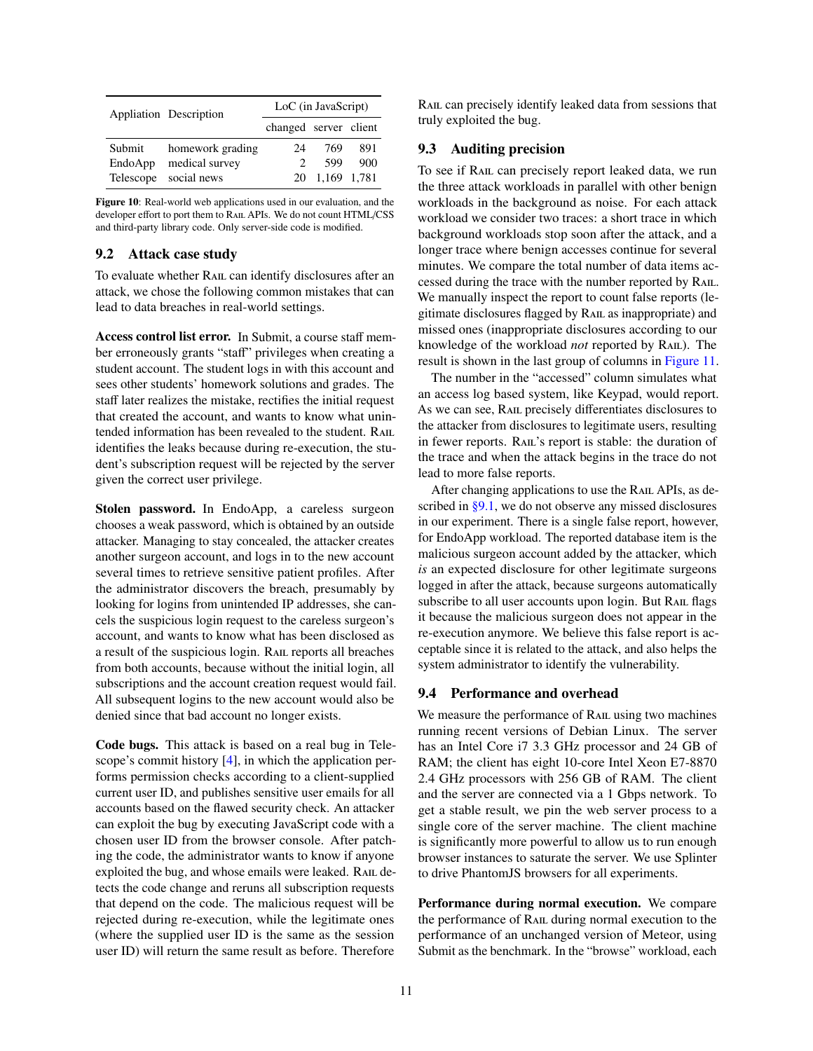|           | Appliation Description | LoC (in JavaScript)         |             |     |  |  |
|-----------|------------------------|-----------------------------|-------------|-----|--|--|
|           |                        | changed server client       |             |     |  |  |
| Submit    | homework grading       | 24                          | 769         | 891 |  |  |
| EndoApp   | medical survey         | $\mathcal{D}_{\mathcal{A}}$ | 599         | 900 |  |  |
| Telescope | social news            | 20                          | 1,169 1,781 |     |  |  |

<span id="page-10-2"></span>Figure 10: Real-world web applications used in our evaluation, and the developer effort to port them to RAIL APIs. We do not count HTML/CSS and third-party library code. Only server-side code is modified.

## 9.2 Attack case study

To evaluate whether Rail can identify disclosures after an attack, we chose the following common mistakes that can lead to data breaches in real-world settings.

Access control list error. In Submit, a course staff member erroneously grants "staff" privileges when creating a student account. The student logs in with this account and sees other students' homework solutions and grades. The staff later realizes the mistake, rectifies the initial request that created the account, and wants to know what unintended information has been revealed to the student. RAIL identifies the leaks because during re-execution, the student's subscription request will be rejected by the server given the correct user privilege.

Stolen password. In EndoApp, a careless surgeon chooses a weak password, which is obtained by an outside attacker. Managing to stay concealed, the attacker creates another surgeon account, and logs in to the new account several times to retrieve sensitive patient profiles. After the administrator discovers the breach, presumably by looking for logins from unintended IP addresses, she cancels the suspicious login request to the careless surgeon's account, and wants to know what has been disclosed as a result of the suspicious login. RAIL reports all breaches from both accounts, because without the initial login, all subscriptions and the account creation request would fail. All subsequent logins to the new account would also be denied since that bad account no longer exists.

Code bugs. This attack is based on a real bug in Telescope's commit history [\[4\]](#page-14-15), in which the application performs permission checks according to a client-supplied current user ID, and publishes sensitive user emails for all accounts based on the flawed security check. An attacker can exploit the bug by executing JavaScript code with a chosen user ID from the browser console. After patching the code, the administrator wants to know if anyone exploited the bug, and whose emails were leaked. RAIL detects the code change and reruns all subscription requests that depend on the code. The malicious request will be rejected during re-execution, while the legitimate ones (where the supplied user ID is the same as the session user ID) will return the same result as before. Therefore

Rail can precisely identify leaked data from sessions that truly exploited the bug.

# <span id="page-10-0"></span>9.3 Auditing precision

To see if Rail can precisely report leaked data, we run the three attack workloads in parallel with other benign workloads in the background as noise. For each attack workload we consider two traces: a short trace in which background workloads stop soon after the attack, and a longer trace where benign accesses continue for several minutes. We compare the total number of data items accessed during the trace with the number reported by Rail. We manually inspect the report to count false reports (legitimate disclosures flagged by Rail as inappropriate) and missed ones (inappropriate disclosures according to our knowledge of the workload *not* reported by Rail). The result is shown in the last group of columns in [Figure 11.](#page-11-0)

The number in the "accessed" column simulates what an access log based system, like Keypad, would report. As we can see, RAIL precisely differentiates disclosures to the attacker from disclosures to legitimate users, resulting in fewer reports. Rail's report is stable: the duration of the trace and when the attack begins in the trace do not lead to more false reports.

After changing applications to use the Rail APIs, as de-scribed in [§9.1,](#page-9-3) we do not observe any missed disclosures in our experiment. There is a single false report, however, for EndoApp workload. The reported database item is the malicious surgeon account added by the attacker, which *is* an expected disclosure for other legitimate surgeons logged in after the attack, because surgeons automatically subscribe to all user accounts upon login. But RAIL flags it because the malicious surgeon does not appear in the re-execution anymore. We believe this false report is acceptable since it is related to the attack, and also helps the system administrator to identify the vulnerability.

#### <span id="page-10-1"></span>9.4 Performance and overhead

We measure the performance of RAIL using two machines running recent versions of Debian Linux. The server has an Intel Core i7 3.3 GHz processor and 24 GB of RAM; the client has eight 10-core Intel Xeon E7-8870 2.4 GHz processors with 256 GB of RAM. The client and the server are connected via a 1 Gbps network. To get a stable result, we pin the web server process to a single core of the server machine. The client machine is significantly more powerful to allow us to run enough browser instances to saturate the server. We use Splinter to drive PhantomJS browsers for all experiments.

Performance during normal execution. We compare the performance of RAIL during normal execution to the performance of an unchanged version of Meteor, using Submit as the benchmark. In the "browse" workload, each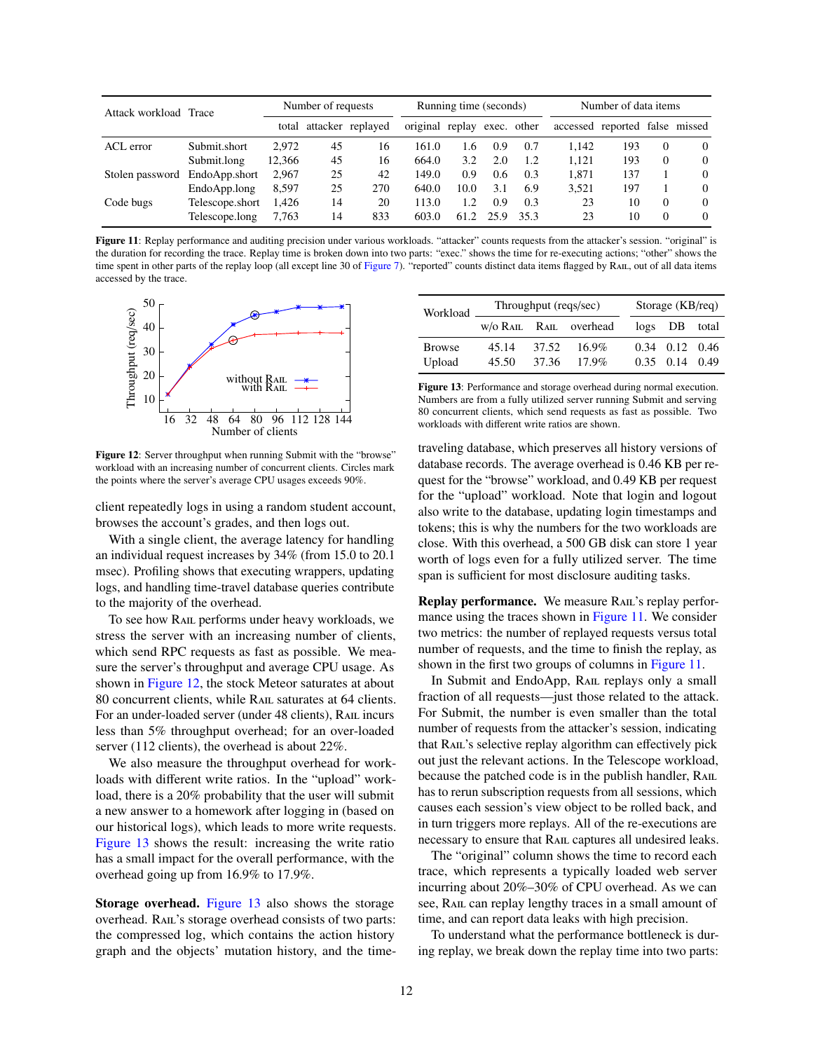| Attack workload Trace |                 | Number of requests |    | Running time (seconds)  |                 |         | Number of data items |      |       |                                |          |          |
|-----------------------|-----------------|--------------------|----|-------------------------|-----------------|---------|----------------------|------|-------|--------------------------------|----------|----------|
|                       |                 |                    |    | total attacker replayed | original replay |         | exec. other          |      |       | accessed reported false missed |          |          |
| ACL error             | Submit.short    | 2.972              | 45 | 16                      | 161.0           | $.6 \,$ | 0.9                  | 0.7  | 1.142 | 193                            | $\Omega$ | $\Omega$ |
|                       | Submit.long     | 12.366             | 45 | 16                      | 664.0           | 3.2     | 2.0                  | 1.2  | 1.121 | 193                            | $\Omega$ | $\Omega$ |
| Stolen password       | EndoApp.short   | 2.967              | 25 | 42                      | 149.0           | 0.9     | $0.6^{\circ}$        | 0.3  | 1.871 | 137                            |          | $\Omega$ |
|                       | EndoApp.long    | 8.597              | 25 | 270                     | 640.0           | 10.0    | 3.1                  | 6.9  | 3.521 | 197                            |          | $\Omega$ |
| Code bugs             | Telescope.short | 1.426              | 14 | 20                      | 113.0           | 1.2     | 0.9                  | 0.3  | 23    | 10                             | $\Omega$ | $\Omega$ |
|                       | Telescope.long  | 7,763              | 14 | 833                     | 603.0           | 61.2    | 25.9                 | 35.3 | 23    | 10                             | $\Omega$ | $\Omega$ |

<span id="page-11-0"></span>Figure 11: Replay performance and auditing precision under various workloads. "attacker" counts requests from the attacker's session. "original" is the duration for recording the trace. Replay time is broken down into two parts: "exec." shows the time for re-executing actions; "other" shows the time spent in other parts of the replay loop (all except line 30 of [Figure 7\)](#page-7-2). "reported" counts distinct data items flagged by Rail, out of all data items accessed by the trace.



<span id="page-11-1"></span>Figure 12: Server throughput when running Submit with the "browse" workload with an increasing number of concurrent clients. Circles mark the points where the server's average CPU usages exceeds 90%.

client repeatedly logs in using a random student account, browses the account's grades, and then logs out.

With a single client, the average latency for handling an individual request increases by 34% (from 15.0 to 20.1 msec). Profiling shows that executing wrappers, updating logs, and handling time-travel database queries contribute to the majority of the overhead.

To see how Rail performs under heavy workloads, we stress the server with an increasing number of clients, which send RPC requests as fast as possible. We measure the server's throughput and average CPU usage. As shown in [Figure 12,](#page-11-1) the stock Meteor saturates at about 80 concurrent clients, while RAIL saturates at 64 clients. For an under-loaded server (under 48 clients), RAIL incurs less than 5% throughput overhead; for an over-loaded server (112 clients), the overhead is about 22%.

We also measure the throughput overhead for workloads with different write ratios. In the "upload" workload, there is a 20% probability that the user will submit a new answer to a homework after logging in (based on our historical logs), which leads to more write requests. [Figure 13](#page-11-2) shows the result: increasing the write ratio has a small impact for the overall performance, with the overhead going up from 16.9% to 17.9%.

Storage overhead. [Figure 13](#page-11-2) also shows the storage overhead. RAIL's storage overhead consists of two parts: the compressed log, which contains the action history graph and the objects' mutation history, and the time-

| Workload                |                | Throughput (reqs/sec) | Storage $(KB$ <sub>req</sub> $)$ |      |                              |       |
|-------------------------|----------------|-----------------------|----------------------------------|------|------------------------------|-------|
|                         |                |                       | W/O RAIL RAIL overhead           |      | $\log s$ DB                  | total |
| <b>Browse</b><br>Upload | 45.14<br>45.50 | 37.52<br>37.36        | $16.9\%$<br>$17.9\%$             | 0.35 | $0.34$ $0.12$ $0.46$<br>0.14 | 0.49  |

<span id="page-11-2"></span>Figure 13: Performance and storage overhead during normal execution. Numbers are from a fully utilized server running Submit and serving 80 concurrent clients, which send requests as fast as possible. Two workloads with different write ratios are shown.

traveling database, which preserves all history versions of database records. The average overhead is 0.46 KB per request for the "browse" workload, and 0.49 KB per request for the "upload" workload. Note that login and logout also write to the database, updating login timestamps and tokens; this is why the numbers for the two workloads are close. With this overhead, a 500 GB disk can store 1 year worth of logs even for a fully utilized server. The time span is sufficient for most disclosure auditing tasks.

Replay performance. We measure RAIL's replay perfor-mance using the traces shown in [Figure 11.](#page-11-0) We consider two metrics: the number of replayed requests versus total number of requests, and the time to finish the replay, as shown in the first two groups of columns in [Figure 11.](#page-11-0)

In Submit and EndoApp, RAIL replays only a small fraction of all requests—just those related to the attack. For Submit, the number is even smaller than the total number of requests from the attacker's session, indicating that RAIL's selective replay algorithm can effectively pick out just the relevant actions. In the Telescope workload, because the patched code is in the publish handler, RAIL has to rerun subscription requests from all sessions, which causes each session's view object to be rolled back, and in turn triggers more replays. All of the re-executions are necessary to ensure that RAIL captures all undesired leaks.

The "original" column shows the time to record each trace, which represents a typically loaded web server incurring about 20%–30% of CPU overhead. As we can see, RAIL can replay lengthy traces in a small amount of time, and can report data leaks with high precision.

To understand what the performance bottleneck is during replay, we break down the replay time into two parts: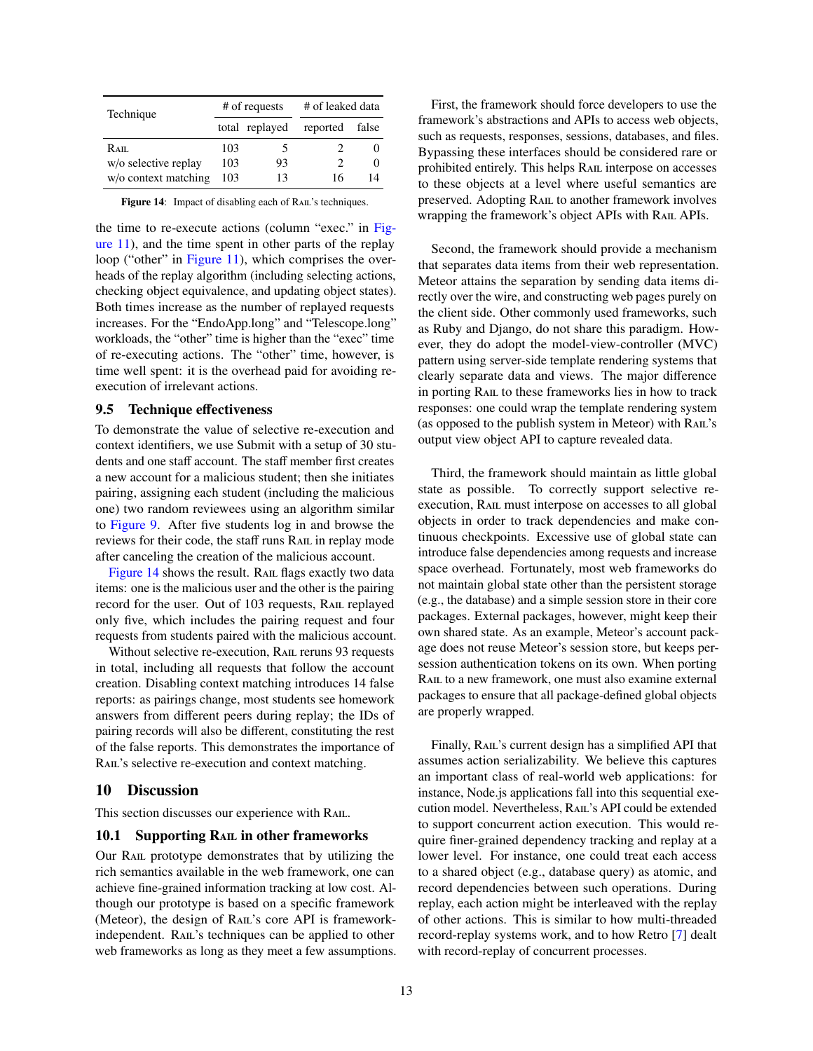| Technique            |                | # of requests | # of leaked data |          |  |
|----------------------|----------------|---------------|------------------|----------|--|
|                      | total replayed |               | reported         | false    |  |
| $R_{\rm AII.}$       | 103            |               |                  |          |  |
| w/o selective replay | 103            | 93            |                  | $\theta$ |  |
| w/o context matching | 103            | 13            | 16               | 14       |  |

<span id="page-12-2"></span>Figure 14: Impact of disabling each of RAIL's techniques.

the time to re-execute actions (column "exec." in [Fig](#page-11-0)[ure 11\)](#page-11-0), and the time spent in other parts of the replay loop ("other" in [Figure 11\)](#page-11-0), which comprises the overheads of the replay algorithm (including selecting actions, checking object equivalence, and updating object states). Both times increase as the number of replayed requests increases. For the "EndoApp.long" and "Telescope.long" workloads, the "other" time is higher than the "exec" time of re-executing actions. The "other" time, however, is time well spent: it is the overhead paid for avoiding reexecution of irrelevant actions.

#### <span id="page-12-1"></span>9.5 Technique effectiveness

To demonstrate the value of selective re-execution and context identifiers, we use Submit with a setup of 30 students and one staff account. The staff member first creates a new account for a malicious student; then she initiates pairing, assigning each student (including the malicious one) two random reviewees using an algorithm similar to [Figure 9.](#page-9-2) After five students log in and browse the reviews for their code, the staff runs RAIL in replay mode after canceling the creation of the malicious account.

[Figure 14](#page-12-2) shows the result. RAIL flags exactly two data items: one is the malicious user and the other is the pairing record for the user. Out of 103 requests, RAIL replayed only five, which includes the pairing request and four requests from students paired with the malicious account.

Without selective re-execution, RAIL reruns 93 requests in total, including all requests that follow the account creation. Disabling context matching introduces 14 false reports: as pairings change, most students see homework answers from different peers during replay; the IDs of pairing records will also be different, constituting the rest of the false reports. This demonstrates the importance of RAIL's selective re-execution and context matching.

#### <span id="page-12-0"></span>10 Discussion

This section discusses our experience with RAIL.

#### 10.1 Supporting RAIL in other frameworks

Our Rail prototype demonstrates that by utilizing the rich semantics available in the web framework, one can achieve fine-grained information tracking at low cost. Although our prototype is based on a specific framework (Meteor), the design of RAIL's core API is frameworkindependent. RAIL's techniques can be applied to other web frameworks as long as they meet a few assumptions.

First, the framework should force developers to use the framework's abstractions and APIs to access web objects, such as requests, responses, sessions, databases, and files. Bypassing these interfaces should be considered rare or prohibited entirely. This helps RAIL interpose on accesses to these objects at a level where useful semantics are preserved. Adopting Rail to another framework involves wrapping the framework's object APIs with RAIL APIs.

Second, the framework should provide a mechanism that separates data items from their web representation. Meteor attains the separation by sending data items directly over the wire, and constructing web pages purely on the client side. Other commonly used frameworks, such as Ruby and Django, do not share this paradigm. However, they do adopt the model-view-controller (MVC) pattern using server-side template rendering systems that clearly separate data and views. The major difference in porting Rail to these frameworks lies in how to track responses: one could wrap the template rendering system (as opposed to the publish system in Meteor) with RAIL's output view object API to capture revealed data.

Third, the framework should maintain as little global state as possible. To correctly support selective reexecution, Rail must interpose on accesses to all global objects in order to track dependencies and make continuous checkpoints. Excessive use of global state can introduce false dependencies among requests and increase space overhead. Fortunately, most web frameworks do not maintain global state other than the persistent storage (e.g., the database) and a simple session store in their core packages. External packages, however, might keep their own shared state. As an example, Meteor's account package does not reuse Meteor's session store, but keeps persession authentication tokens on its own. When porting RAIL to a new framework, one must also examine external packages to ensure that all package-defined global objects are properly wrapped.

Finally, RAIL's current design has a simplified API that assumes action serializability. We believe this captures an important class of real-world web applications: for instance, Node.js applications fall into this sequential execution model. Nevertheless, Rail's API could be extended to support concurrent action execution. This would require finer-grained dependency tracking and replay at a lower level. For instance, one could treat each access to a shared object (e.g., database query) as atomic, and record dependencies between such operations. During replay, each action might be interleaved with the replay of other actions. This is similar to how multi-threaded record-replay systems work, and to how Retro [\[7\]](#page-14-8) dealt with record-replay of concurrent processes.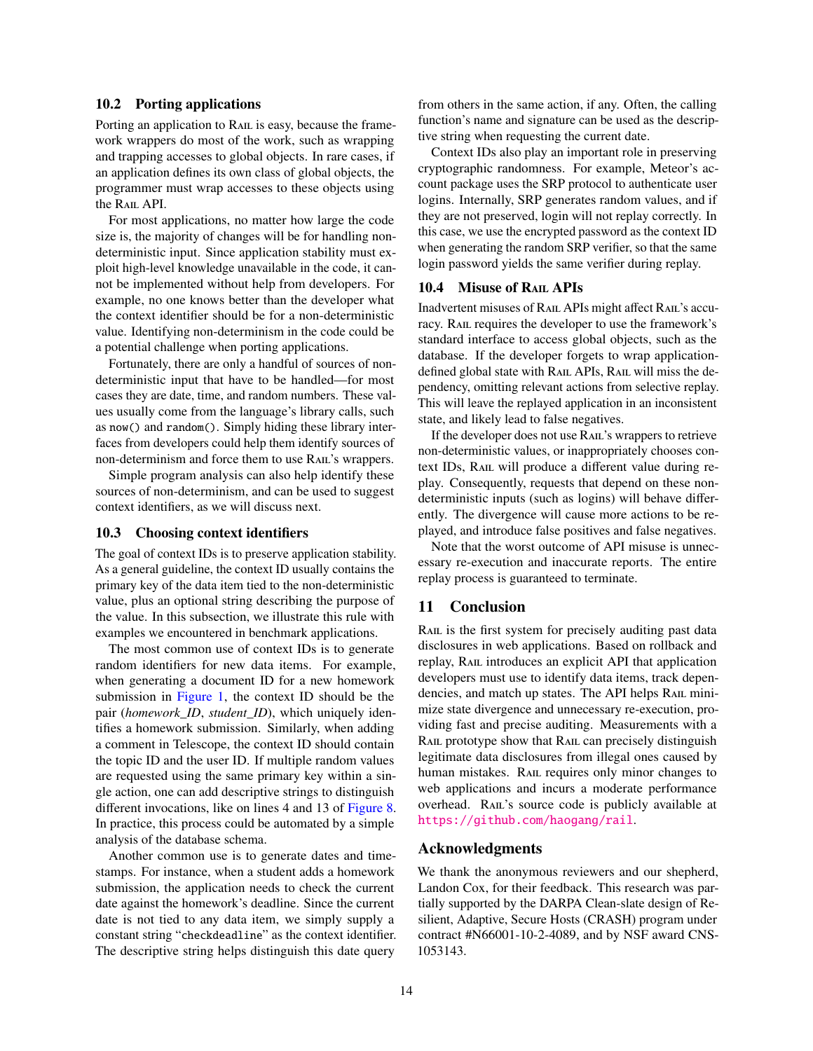# 10.2 Porting applications

Porting an application to RAIL is easy, because the framework wrappers do most of the work, such as wrapping and trapping accesses to global objects. In rare cases, if an application defines its own class of global objects, the programmer must wrap accesses to these objects using the RAIL API.

For most applications, no matter how large the code size is, the majority of changes will be for handling nondeterministic input. Since application stability must exploit high-level knowledge unavailable in the code, it cannot be implemented without help from developers. For example, no one knows better than the developer what the context identifier should be for a non-deterministic value. Identifying non-determinism in the code could be a potential challenge when porting applications.

Fortunately, there are only a handful of sources of nondeterministic input that have to be handled—for most cases they are date, time, and random numbers. These values usually come from the language's library calls, such as now() and random(). Simply hiding these library interfaces from developers could help them identify sources of non-determinism and force them to use RAIL's wrappers.

Simple program analysis can also help identify these sources of non-determinism, and can be used to suggest context identifiers, as we will discuss next.

#### 10.3 Choosing context identifiers

The goal of context IDs is to preserve application stability. As a general guideline, the context ID usually contains the primary key of the data item tied to the non-deterministic value, plus an optional string describing the purpose of the value. In this subsection, we illustrate this rule with examples we encountered in benchmark applications.

The most common use of context IDs is to generate random identifiers for new data items. For example, when generating a document ID for a new homework submission in [Figure 1,](#page-2-1) the context ID should be the pair (*homework\_ID*, *student\_ID*), which uniquely identifies a homework submission. Similarly, when adding a comment in Telescope, the context ID should contain the topic ID and the user ID. If multiple random values are requested using the same primary key within a single action, one can add descriptive strings to distinguish different invocations, like on lines 4 and 13 of [Figure 8.](#page-8-1) In practice, this process could be automated by a simple analysis of the database schema.

Another common use is to generate dates and timestamps. For instance, when a student adds a homework submission, the application needs to check the current date against the homework's deadline. Since the current date is not tied to any data item, we simply supply a constant string "checkdeadline" as the context identifier. The descriptive string helps distinguish this date query

from others in the same action, if any. Often, the calling function's name and signature can be used as the descriptive string when requesting the current date.

Context IDs also play an important role in preserving cryptographic randomness. For example, Meteor's account package uses the SRP protocol to authenticate user logins. Internally, SRP generates random values, and if they are not preserved, login will not replay correctly. In this case, we use the encrypted password as the context ID when generating the random SRP verifier, so that the same login password yields the same verifier during replay.

#### 10.4 Misuse of RAIL APIS

Inadvertent misuses of Rail APIs might affect Rail's accuracy. RAIL requires the developer to use the framework's standard interface to access global objects, such as the database. If the developer forgets to wrap applicationdefined global state with RAIL APIs, RAIL will miss the dependency, omitting relevant actions from selective replay. This will leave the replayed application in an inconsistent state, and likely lead to false negatives.

If the developer does not use Rail's wrappers to retrieve non-deterministic values, or inappropriately chooses context IDs, RAIL will produce a different value during replay. Consequently, requests that depend on these nondeterministic inputs (such as logins) will behave differently. The divergence will cause more actions to be replayed, and introduce false positives and false negatives.

Note that the worst outcome of API misuse is unnecessary re-execution and inaccurate reports. The entire replay process is guaranteed to terminate.

# <span id="page-13-0"></span>11 Conclusion

RAIL is the first system for precisely auditing past data disclosures in web applications. Based on rollback and replay, Rail introduces an explicit API that application developers must use to identify data items, track dependencies, and match up states. The API helps RAIL minimize state divergence and unnecessary re-execution, providing fast and precise auditing. Measurements with a RAIL prototype show that RAIL can precisely distinguish legitimate data disclosures from illegal ones caused by human mistakes. RAIL requires only minor changes to web applications and incurs a moderate performance overhead. RAIL's source code is publicly available at <https://github.com/haogang/rail>.

# Acknowledgments

We thank the anonymous reviewers and our shepherd, Landon Cox, for their feedback. This research was partially supported by the DARPA Clean-slate design of Resilient, Adaptive, Secure Hosts (CRASH) program under contract #N66001-10-2-4089, and by NSF award CNS-1053143.